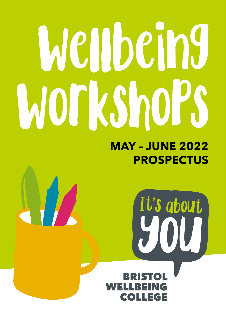# Wellbeing **WOTKShOPS**

### **MAY – JUNE 2022 PROSPECTUS**

It's about

ELLREING **COLLEGE** 

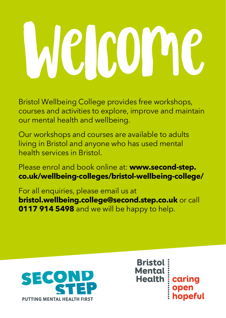# **ICLCOM**

Bristol Wellbeing College provides free workshops, courses and activities to explore, improve and maintain our mental health and wellbeing.

Our workshops and courses are available to adults living in Bristol and anyone who has used mental health services in Bristol.

Please enrol and book online at: **www.second-step. co.uk/wellbeing-colleges/bristol-wellbeing-college/**

For all enquiries, please email us at **bristol.wellbeing.college@second.step.co.uk** or call **0117 914 5498** and we will be happy to help.



**Bristol: Mental** Mentat<br>Health caring<br>ppen<br>hopeful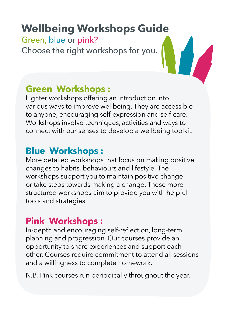### **Wellbeing Workshops Guide**

#### Green, blue or pink?

Choose the right workshops for you.

#### **Green Workshops :**

Lighter workshops offering an introduction into various ways to improve wellbeing. They are accessible to anyone, encouraging self-expression and self-care. Workshops involve techniques, activities and ways to connect with our senses to develop a wellbeing toolkit.

#### **Blue Workshops :**

More detailed workshops that focus on making positive changes to habits, behaviours and lifestyle. The workshops support you to maintain positive change or take steps towards making a change. These more structured workshops aim to provide you with helpful tools and strategies.

#### **Pink Workshops :**

In-depth and encouraging self-reflection, long-term planning and progression. Our courses provide an opportunity to share experiences and support each other. Courses require commitment to attend all sessions and a willingness to complete homework.

N.B. Pink courses run periodically throughout the year.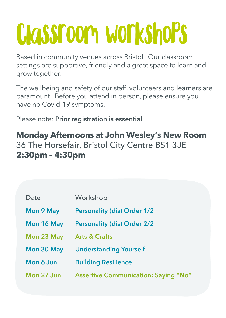## Classroom workshops

Based in community venues across Bristol. Our classroom settings are supportive, friendly and a great space to learn and grow together.

The wellbeing and safety of our staff, volunteers and learners are paramount. Before you attend in person, please ensure you have no Covid-19 symptoms.

Please note: **Prior registration is essential**

#### **Monday Afternoons at John Wesley's New Room**  36 The Horsefair, Bristol City Centre BS1 3JE **2:30pm – 4:30pm**

| Date       | Workshop                                    |
|------------|---------------------------------------------|
| Mon 9 May  | <b>Personality (dis) Order 1/2</b>          |
| Mon 16 May | <b>Personality (dis) Order 2/2</b>          |
| Mon 23 May | <b>Arts &amp; Crafts</b>                    |
| Mon 30 May | <b>Understanding Yourself</b>               |
| Mon 6 Jun  | <b>Building Resilience</b>                  |
| Mon 27 Jun | <b>Assertive Communication: Saying "No"</b> |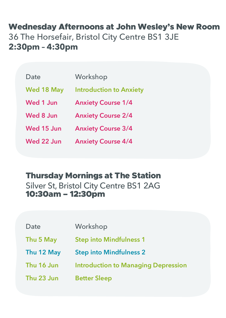**Wednesday Afternoons at John Wesley's New Room**<br>36 The Horsefair, Bristol City Centre BS1 3JE<br>**2:30pm - 4:30pm** 36 The Horsefair, Bristol City Centre BS1 3JE **2:30pm – 4:30pm**

| Date       | Workshop                       |
|------------|--------------------------------|
| Wed 18 May | <b>Introduction to Anxiety</b> |
| Wed 1 Jun  | <b>Anxiety Course 1/4</b>      |
| Wed 8 Jun  | <b>Anxiety Course 2/4</b>      |
| Wed 15 Jun | <b>Anxiety Course 3/4</b>      |
| Wed 22 Jun | <b>Anxiety Course 4/4</b>      |

#### Thursday Mornings at The Station

Silver St, Bristol City Centre BS1 2AG 10:30am – 12:30pm

| Date       | Workshop                                   |
|------------|--------------------------------------------|
| Thu 5 May  | <b>Step into Mindfulness 1</b>             |
| Thu 12 May | <b>Step into Mindfulness 2</b>             |
| Thu 16 Jun | <b>Introduction to Managing Depression</b> |
| Thu 23 Jun | Better Sleep                               |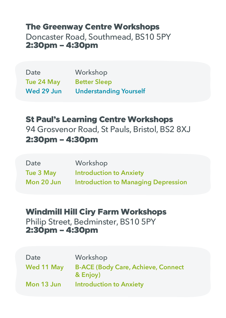#### The Greenway Centre Workshops

Doncaster Road, Southmead, BS10 5PY 2:30pm – 4:30pm

| Date       | Workshop                      |
|------------|-------------------------------|
| Tue 24 May | <b>Better Sleep</b>           |
| Wed 29 Jun | <b>Understanding Yourself</b> |

St Paul's Learning Centre Workshops 94 Grosvenor Road, St Pauls, Bristol, BS2 8XJ 2:30pm – 4:30pm

| Date       | Workshop                                   |
|------------|--------------------------------------------|
| Tue 3 May  | <b>Introduction to Anxiety</b>             |
| Mon 20 Jun | <b>Introduction to Managing Depression</b> |

#### Windmill Hill Ciry Farm Workshops

Philip Street, Bedminster, BS10 5PY 2:30pm – 4:30pm

| Date       | Workshop                                              |
|------------|-------------------------------------------------------|
| Wed 11 May | <b>B-ACE (Body Care, Achieve, Connect</b><br>& Enjoy) |
| Mon 13 Jun | <b>Introduction to Anxiety</b>                        |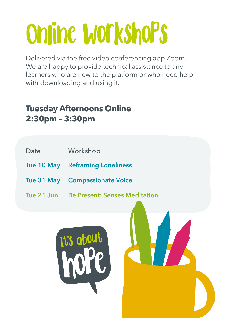# Online Workshops

Delivered via the free video conferencing app Zoom. We are happy to provide technical assistance to any learners who are new to the platform or who need help with downloading and using it.

#### **Tuesday Afternoons Online 2:30pm – 3:30pm**

- Date Workshop
- **Tue 10 May Reframing Loneliness**
- **Tue 31 May Compassionate Voice**
- **Tue 21 Jun Be Present: Senses Meditation**

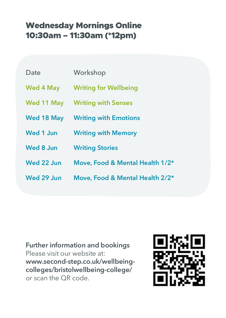## Wednesday Mornings Online<br>10:30am – 11:30am (\*12pm) 10:30am – 11:30am (\*12pm)

| Date       | Workshop                         |
|------------|----------------------------------|
|            | Wed 4 May Writing for Wellbeing  |
|            | Wed 11 May Writing with Senses   |
|            | Wed 18 May Writing with Emotions |
| Wed 1 Jun  | <b>Writing with Memory</b>       |
| Wed 8 Jun  | <b>Writing Stories</b>           |
| Wed 22 Jun | Move, Food & Mental Health 1/2*  |
| Wed 29 Jun | Move, Food & Mental Health 2/2*  |

**Further information and bookings** Please visit our website at: **www.second-step.co.uk/wellbeingcolleges/bristolwellbeing-college/** or scan the QR code.

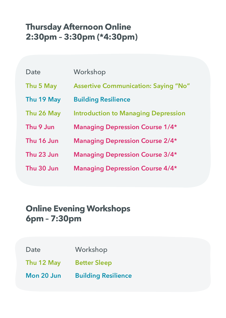#### **Thursday Afternoon Online 2:30pm – 3:30pm (\*4:30pm)**

| Date       | Workshop                                    |
|------------|---------------------------------------------|
| Thu 5 May  | <b>Assertive Communication: Saying "No"</b> |
| Thu 19 May | <b>Building Resilience</b>                  |
| Thu 26 May | <b>Introduction to Managing Depression</b>  |
| Thu 9 Jun  | <b>Managing Depression Course 1/4*</b>      |
| Thu 16 Jun | <b>Managing Depression Course 2/4*</b>      |
| Thu 23 Jun | <b>Managing Depression Course 3/4*</b>      |
| Thu 30 Jun | <b>Managing Depression Course 4/4*</b>      |

#### **Online Evening Workshops 6pm – 7:30pm**

- Date Workshop
- **Thu 12 May Better Sleep**
- **Mon 20 Jun Building Resilience**